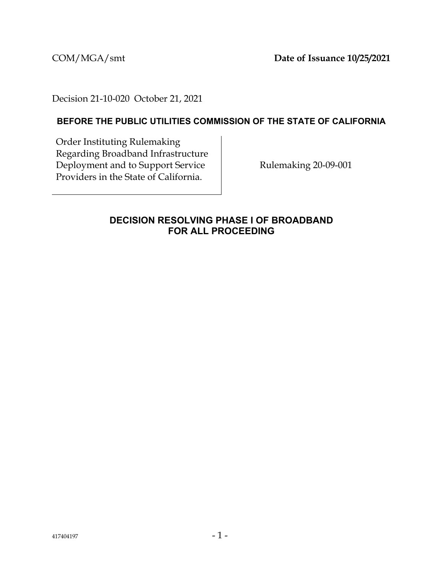COM/MGA/smt **Date of Issuance 10/25/2021**

Decision 21-10-020 October 21, 2021

# **BEFORE THE PUBLIC UTILITIES COMMISSION OF THE STATE OF CALIFORNIA**

Order Instituting Rulemaking Regarding Broadband Infrastructure Deployment and to Support Service Providers in the State of California.

Rulemaking 20-09-001

## <span id="page-0-0"></span>**DECISION RESOLVING PHASE I OF BROADBAND FOR ALL PROCEEDING**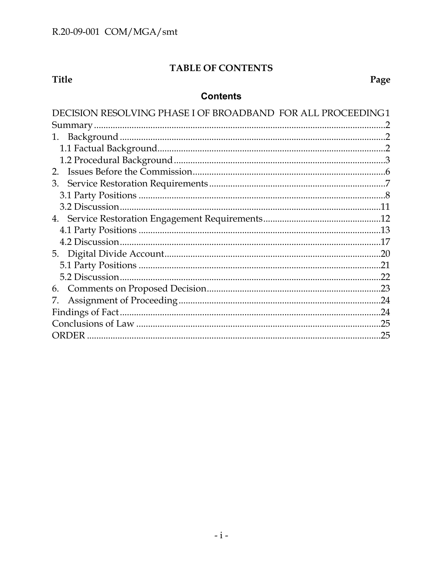# TABLE OF CONTENTS

# Title

Page

# **Contents**

| DECISION RESOLVING PHASE I OF BROADBAND FOR ALL PROCEEDING 1 |     |
|--------------------------------------------------------------|-----|
|                                                              |     |
|                                                              |     |
|                                                              |     |
|                                                              |     |
|                                                              |     |
|                                                              |     |
|                                                              |     |
|                                                              |     |
|                                                              |     |
|                                                              |     |
|                                                              |     |
|                                                              |     |
|                                                              | .21 |
|                                                              |     |
|                                                              |     |
| 7.                                                           |     |
|                                                              |     |
|                                                              | .25 |
|                                                              | .25 |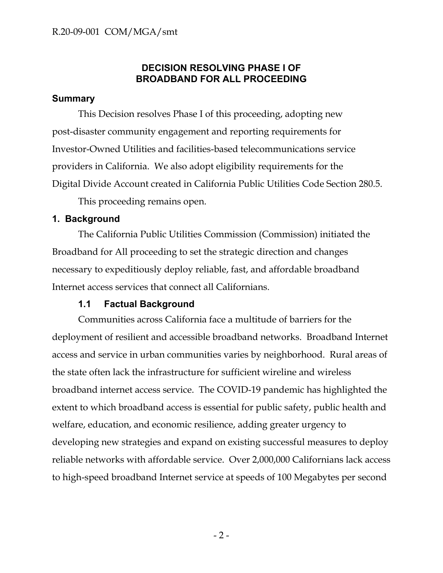# **DECISION RESOLVING PHASE I OF BROADBAND FOR ALL PROCEEDING**

## <span id="page-2-0"></span>**Summary**

This Decision resolves Phase I of this proceeding, adopting new post-disaster community engagement and reporting requirements for Investor-Owned Utilities and facilities-based telecommunications service providers in California. We also adopt eligibility requirements for the Digital Divide Account created in California Public Utilities Code Section 280.5.

This proceeding remains open.

### <span id="page-2-1"></span>**1. Background**

The California Public Utilities Commission (Commission) initiated the Broadband for All proceeding to set the strategic direction and changes necessary to expeditiously deploy reliable, fast, and affordable broadband Internet access services that connect all Californians.

## <span id="page-2-2"></span>**1.1 Factual Background**

Communities across California face a multitude of barriers for the deployment of resilient and accessible broadband networks. Broadband Internet access and service in urban communities varies by neighborhood. Rural areas of the state often lack the infrastructure for sufficient wireline and wireless broadband internet access service. The COVID-19 pandemic has highlighted the extent to which broadband access is essential for public safety, public health and welfare, education, and economic resilience, adding greater urgency to developing new strategies and expand on existing successful measures to deploy reliable networks with affordable service. Over 2,000,000 Californians lack access to high-speed broadband Internet service at speeds of 100 Megabytes per second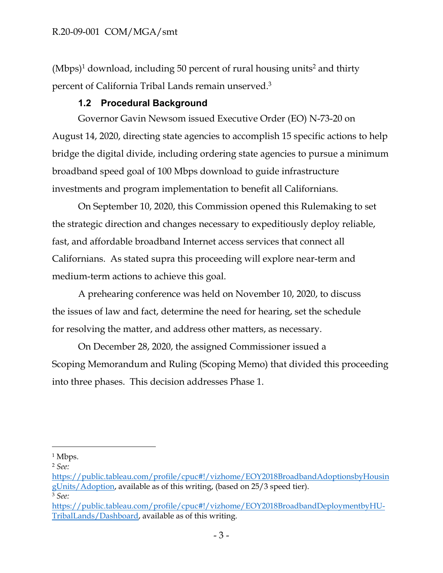$(Mbps)^1$  download, including 50 percent of rural housing units<sup>2</sup> and thirty percent of California Tribal Lands remain unserved.<sup>3</sup>

# <span id="page-3-0"></span>**1.2 Procedural Background**

Governor Gavin Newsom issued Executive Order (EO) N-73-20 on August 14, 2020, directing state agencies to accomplish 15 specific actions to help bridge the digital divide, including ordering state agencies to pursue a minimum broadband speed goal of 100 Mbps download to guide infrastructure investments and program implementation to benefit all Californians.

On September 10, 2020, this Commission opened this Rulemaking to set the strategic direction and changes necessary to expeditiously deploy reliable, fast, and affordable broadband Internet access services that connect all Californians. As stated supra this proceeding will explore near-term and medium-term actions to achieve this goal.

A prehearing conference was held on November 10, 2020, to discuss the issues of law and fact, determine the need for hearing, set the schedule for resolving the matter, and address other matters, as necessary.

On December 28, 2020, the assigned Commissioner issued a Scoping Memorandum and Ruling (Scoping Memo) that divided this proceeding into three phases. This decision addresses Phase 1.

<sup>&</sup>lt;sup>1</sup> Mbps.

<sup>2</sup> *See:* 

[https://public.tableau.com/profile/cpuc#!/vizhome/EOY2018BroadbandAdoptionsbyHousin](https://public.tableau.com/profile/cpuc#!/vizhome/EOY2018BroadbandAdoptionsbyHousingUnits/Adoption) [gUnits/Adoption](https://public.tableau.com/profile/cpuc#!/vizhome/EOY2018BroadbandAdoptionsbyHousingUnits/Adoption), available as of this writing, (based on 25/3 speed tier). <sup>3</sup> *See:* 

[https://public.tableau.com/profile/cpuc#!/vizhome/EOY2018BroadbandDeploymentbyHU-](about:blank#!/vizhome/EOY2018BroadbandDeploymentbyHU-TribalLands/Dashboard)[TribalLands/Dashboard](about:blank#!/vizhome/EOY2018BroadbandDeploymentbyHU-TribalLands/Dashboard), available as of this writing.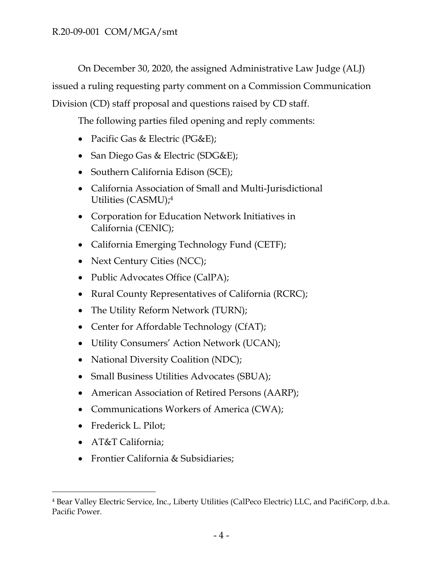On December 30, 2020, the assigned Administrative Law Judge (ALJ)

issued a ruling requesting party comment on a Commission Communication

Division (CD) staff proposal and questions raised by CD staff.

The following parties filed opening and reply comments:

- Pacific Gas & Electric (PG&E);
- San Diego Gas & Electric (SDG&E);
- Southern California Edison (SCE);
- California Association of Small and Multi-Jurisdictional Utilities (CASMU);<sup>4</sup>
- Corporation for Education Network Initiatives in California (CENIC);
- California Emerging Technology Fund (CETF);
- Next Century Cities (NCC);
- Public Advocates Office (CalPA);
- Rural County Representatives of California (RCRC);
- The Utility Reform Network (TURN);
- Center for Affordable Technology (CfAT);
- Utility Consumers' Action Network (UCAN);
- National Diversity Coalition (NDC);
- Small Business Utilities Advocates (SBUA);
- American Association of Retired Persons (AARP);
- Communications Workers of America (CWA);
- Frederick L. Pilot;
- AT&T California;
- Frontier California & Subsidiaries;

<sup>4</sup> Bear Valley Electric Service, Inc., Liberty Utilities (CalPeco Electric) LLC, and PacifiCorp, d.b.a. Pacific Power.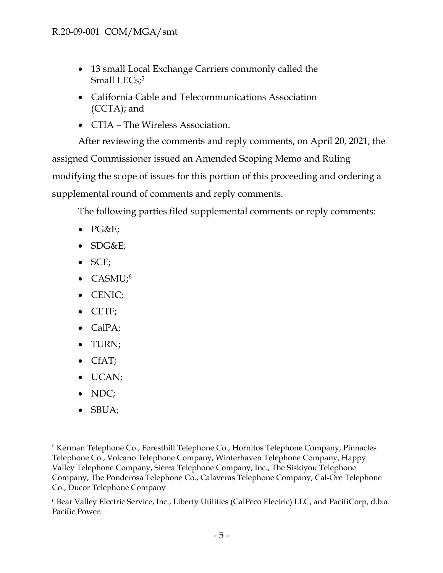- 13 small Local Exchange Carriers commonly called the Small LECs;<sup>5</sup>
- California Cable and Telecommunications Association (CCTA); and
- CTIA The Wireless Association.

After reviewing the comments and reply comments, on April 20, 2021, the assigned Commissioner issued an Amended Scoping Memo and Ruling modifying the scope of issues for this portion of this proceeding and ordering a supplemental round of comments and reply comments.

The following parties filed supplemental comments or reply comments:

- $\bullet$  PG&E;
- $\bullet$  SDG&E;
- SCE;
- CASMU;<sup>6</sup>
- CENIC;
- CETF;
- CalPA;
- TURN;
- CfAT;
- UCAN;
- NDC;
- $\bullet$  SBUA;

<sup>5</sup> Kerman Telephone Co., Foresthill Telephone Co., Hornitos Telephone Company, Pinnacles Telephone Co., Volcano Telephone Company, Winterhaven Telephone Company, Happy Valley Telephone Company, Sierra Telephone Company, Inc., The Siskiyou Telephone Company, The Ponderosa Telephone Co., Calaveras Telephone Company, Cal-Ore Telephone Co., Ducor Telephone Company

<sup>6</sup> Bear Valley Electric Service, Inc., Liberty Utilities (CalPeco Electric) LLC, and PacifiCorp, d.b.a. Pacific Power.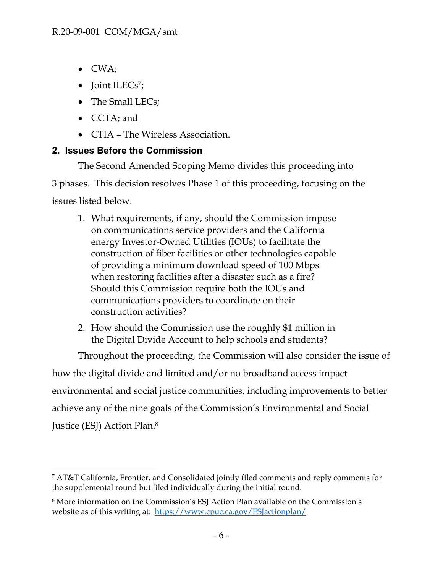- CWA;
- $\bullet$  Joint ILECs<sup>7</sup>;
- The Small LECs;
- CCTA; and
- CTIA The Wireless Association.

# <span id="page-6-0"></span>**2. Issues Before the Commission**

The Second Amended Scoping Memo divides this proceeding into

3 phases. This decision resolves Phase 1 of this proceeding, focusing on the

issues listed below.

- 1. What requirements, if any, should the Commission impose on communications service providers and the California energy Investor-Owned Utilities (IOUs) to facilitate the construction of fiber facilities or other technologies capable of providing a minimum download speed of 100 Mbps when restoring facilities after a disaster such as a fire? Should this Commission require both the IOUs and communications providers to coordinate on their construction activities?
- 2. How should the Commission use the roughly \$1 million in the Digital Divide Account to help schools and students?

Throughout the proceeding, the Commission will also consider the issue of how the digital divide and limited and/or no broadband access impact environmental and social justice communities, including improvements to better achieve any of the nine goals of the Commission's Environmental and Social Justice (ESJ) Action Plan.<sup>8</sup>

<sup>7</sup> AT&T California, Frontier, and Consolidated jointly filed comments and reply comments for the supplemental round but filed individually during the initial round.

<sup>8</sup> More information on the Commission's ESJ Action Plan available on the Commission's website as of this writing at: [https://www.cpuc.ca.gov/ESJactionplan/](about:blank)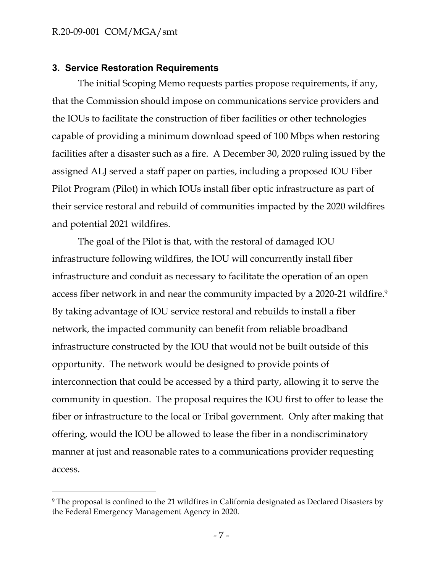#### <span id="page-7-0"></span>**3. Service Restoration Requirements**

The initial Scoping Memo requests parties propose requirements, if any, that the Commission should impose on communications service providers and the IOUs to facilitate the construction of fiber facilities or other technologies capable of providing a minimum download speed of 100 Mbps when restoring facilities after a disaster such as a fire. A December 30, 2020 ruling issued by the assigned ALJ served a staff paper on parties, including a proposed IOU Fiber Pilot Program (Pilot) in which IOUs install fiber optic infrastructure as part of their service restoral and rebuild of communities impacted by the 2020 wildfires and potential 2021 wildfires.

The goal of the Pilot is that, with the restoral of damaged IOU infrastructure following wildfires, the IOU will concurrently install fiber infrastructure and conduit as necessary to facilitate the operation of an open access fiber network in and near the community impacted by a 2020-21 wildfire.<sup>9</sup> By taking advantage of IOU service restoral and rebuilds to install a fiber network, the impacted community can benefit from reliable broadband infrastructure constructed by the IOU that would not be built outside of this opportunity. The network would be designed to provide points of interconnection that could be accessed by a third party, allowing it to serve the community in question. The proposal requires the IOU first to offer to lease the fiber or infrastructure to the local or Tribal government. Only after making that offering, would the IOU be allowed to lease the fiber in a nondiscriminatory manner at just and reasonable rates to a communications provider requesting access.

<sup>&</sup>lt;sup>9</sup> The proposal is confined to the 21 wildfires in California designated as Declared Disasters by the Federal Emergency Management Agency in 2020.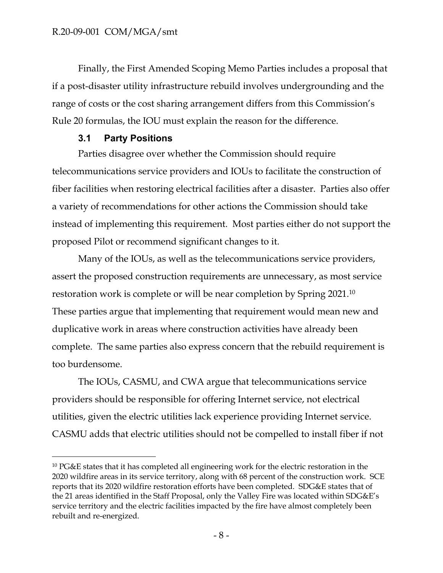Finally, the First Amended Scoping Memo Parties includes a proposal that if a post-disaster utility infrastructure rebuild involves undergrounding and the range of costs or the cost sharing arrangement differs from this Commission's Rule 20 formulas, the IOU must explain the reason for the difference.

## <span id="page-8-0"></span>**3.1 Party Positions**

Parties disagree over whether the Commission should require telecommunications service providers and IOUs to facilitate the construction of fiber facilities when restoring electrical facilities after a disaster. Parties also offer a variety of recommendations for other actions the Commission should take instead of implementing this requirement. Most parties either do not support the proposed Pilot or recommend significant changes to it.

Many of the IOUs, as well as the telecommunications service providers, assert the proposed construction requirements are unnecessary, as most service restoration work is complete or will be near completion by Spring 2021.<sup>10</sup> These parties argue that implementing that requirement would mean new and duplicative work in areas where construction activities have already been complete. The same parties also express concern that the rebuild requirement is too burdensome.

The IOUs, CASMU, and CWA argue that telecommunications service providers should be responsible for offering Internet service, not electrical utilities, given the electric utilities lack experience providing Internet service. CASMU adds that electric utilities should not be compelled to install fiber if not

<sup>&</sup>lt;sup>10</sup> PG&E states that it has completed all engineering work for the electric restoration in the 2020 wildfire areas in its service territory, along with 68 percent of the construction work. SCE reports that its 2020 wildfire restoration efforts have been completed. SDG&E states that of the 21 areas identified in the Staff Proposal, only the Valley Fire was located within SDG&E's service territory and the electric facilities impacted by the fire have almost completely been rebuilt and re-energized.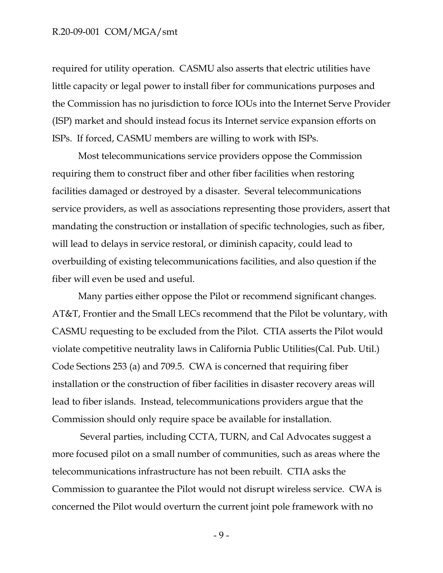required for utility operation. CASMU also asserts that electric utilities have little capacity or legal power to install fiber for communications purposes and the Commission has no jurisdiction to force IOUs into the Internet Serve Provider (ISP) market and should instead focus its Internet service expansion efforts on ISPs. If forced, CASMU members are willing to work with ISPs.

Most telecommunications service providers oppose the Commission requiring them to construct fiber and other fiber facilities when restoring facilities damaged or destroyed by a disaster. Several telecommunications service providers, as well as associations representing those providers, assert that mandating the construction or installation of specific technologies, such as fiber, will lead to delays in service restoral, or diminish capacity, could lead to overbuilding of existing telecommunications facilities, and also question if the fiber will even be used and useful.

Many parties either oppose the Pilot or recommend significant changes. AT&T, Frontier and the Small LECs recommend that the Pilot be voluntary, with CASMU requesting to be excluded from the Pilot. CTIA asserts the Pilot would violate competitive neutrality laws in California Public Utilities(Cal. Pub. Util.) Code Sections 253 (a) and 709.5. CWA is concerned that requiring fiber installation or the construction of fiber facilities in disaster recovery areas will lead to fiber islands. Instead, telecommunications providers argue that the Commission should only require space be available for installation.

Several parties, including CCTA, TURN, and Cal Advocates suggest a more focused pilot on a small number of communities, such as areas where the telecommunications infrastructure has not been rebuilt. CTIA asks the Commission to guarantee the Pilot would not disrupt wireless service. CWA is concerned the Pilot would overturn the current joint pole framework with no

- 9 -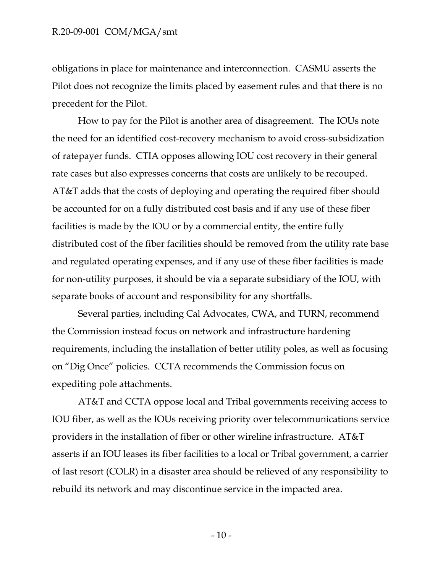obligations in place for maintenance and interconnection. CASMU asserts the Pilot does not recognize the limits placed by easement rules and that there is no precedent for the Pilot.

How to pay for the Pilot is another area of disagreement. The IOUs note the need for an identified cost-recovery mechanism to avoid cross-subsidization of ratepayer funds. CTIA opposes allowing IOU cost recovery in their general rate cases but also expresses concerns that costs are unlikely to be recouped. AT&T adds that the costs of deploying and operating the required fiber should be accounted for on a fully distributed cost basis and if any use of these fiber facilities is made by the IOU or by a commercial entity, the entire fully distributed cost of the fiber facilities should be removed from the utility rate base and regulated operating expenses, and if any use of these fiber facilities is made for non-utility purposes, it should be via a separate subsidiary of the IOU, with separate books of account and responsibility for any shortfalls.

Several parties, including Cal Advocates, CWA, and TURN, recommend the Commission instead focus on network and infrastructure hardening requirements, including the installation of better utility poles, as well as focusing on "Dig Once" policies. CCTA recommends the Commission focus on expediting pole attachments.

AT&T and CCTA oppose local and Tribal governments receiving access to IOU fiber, as well as the IOUs receiving priority over telecommunications service providers in the installation of fiber or other wireline infrastructure. AT&T asserts if an IOU leases its fiber facilities to a local or Tribal government, a carrier of last resort (COLR) in a disaster area should be relieved of any responsibility to rebuild its network and may discontinue service in the impacted area.

 $-10-$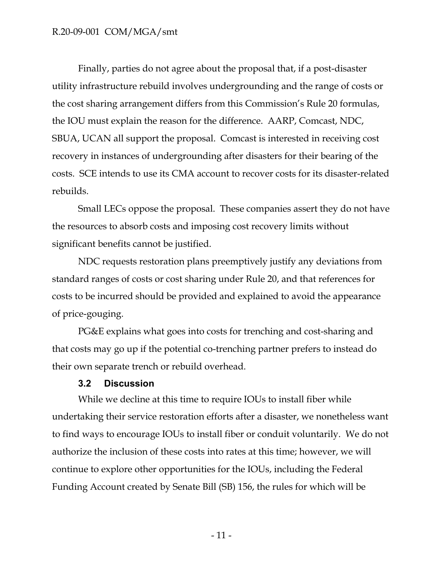Finally, parties do not agree about the proposal that, if a post-disaster utility infrastructure rebuild involves undergrounding and the range of costs or the cost sharing arrangement differs from this Commission's Rule 20 formulas, the IOU must explain the reason for the difference. AARP, Comcast, NDC, SBUA, UCAN all support the proposal. Comcast is interested in receiving cost recovery in instances of undergrounding after disasters for their bearing of the costs. SCE intends to use its CMA account to recover costs for its disaster-related rebuilds.

Small LECs oppose the proposal. These companies assert they do not have the resources to absorb costs and imposing cost recovery limits without significant benefits cannot be justified.

NDC requests restoration plans preemptively justify any deviations from standard ranges of costs or cost sharing under Rule 20, and that references for costs to be incurred should be provided and explained to avoid the appearance of price-gouging.

PG&E explains what goes into costs for trenching and cost-sharing and that costs may go up if the potential co-trenching partner prefers to instead do their own separate trench or rebuild overhead.

#### <span id="page-11-0"></span>**3.2 Discussion**

While we decline at this time to require IOUs to install fiber while undertaking their service restoration efforts after a disaster, we nonetheless want to find ways to encourage IOUs to install fiber or conduit voluntarily. We do not authorize the inclusion of these costs into rates at this time; however, we will continue to explore other opportunities for the IOUs, including the Federal Funding Account created by Senate Bill (SB) 156, the rules for which will be

- 11 -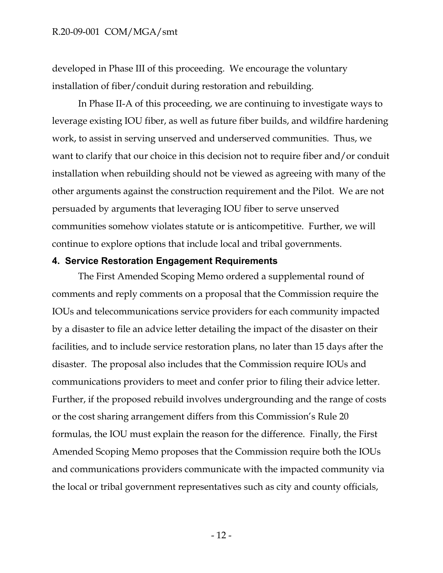developed in Phase III of this proceeding. We encourage the voluntary installation of fiber/conduit during restoration and rebuilding.

In Phase II-A of this proceeding, we are continuing to investigate ways to leverage existing IOU fiber, as well as future fiber builds, and wildfire hardening work, to assist in serving unserved and underserved communities. Thus, we want to clarify that our choice in this decision not to require fiber and/or conduit installation when rebuilding should not be viewed as agreeing with many of the other arguments against the construction requirement and the Pilot. We are not persuaded by arguments that leveraging IOU fiber to serve unserved communities somehow violates statute or is anticompetitive. Further, we will continue to explore options that include local and tribal governments.

#### <span id="page-12-0"></span>**4. Service Restoration Engagement Requirements**

The First Amended Scoping Memo ordered a supplemental round of comments and reply comments on a proposal that the Commission require the IOUs and telecommunications service providers for each community impacted by a disaster to file an advice letter detailing the impact of the disaster on their facilities, and to include service restoration plans, no later than 15 days after the disaster. The proposal also includes that the Commission require IOUs and communications providers to meet and confer prior to filing their advice letter. Further, if the proposed rebuild involves undergrounding and the range of costs or the cost sharing arrangement differs from this Commission's Rule 20 formulas, the IOU must explain the reason for the difference. Finally, the First Amended Scoping Memo proposes that the Commission require both the IOUs and communications providers communicate with the impacted community via the local or tribal government representatives such as city and county officials,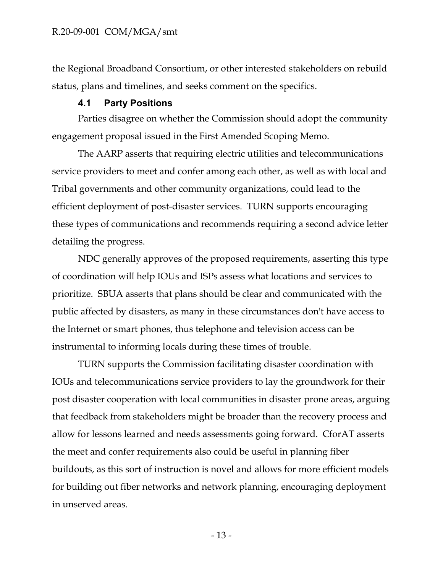the Regional Broadband Consortium, or other interested stakeholders on rebuild status, plans and timelines, and seeks comment on the specifics.

## <span id="page-13-0"></span>**4.1 Party Positions**

Parties disagree on whether the Commission should adopt the community engagement proposal issued in the First Amended Scoping Memo.

The AARP asserts that requiring electric utilities and telecommunications service providers to meet and confer among each other, as well as with local and Tribal governments and other community organizations, could lead to the efficient deployment of post-disaster services. TURN supports encouraging these types of communications and recommends requiring a second advice letter detailing the progress.

NDC generally approves of the proposed requirements, asserting this type of coordination will help IOUs and ISPs assess what locations and services to prioritize. SBUA asserts that plans should be clear and communicated with the public affected by disasters, as many in these circumstances don't have access to the Internet or smart phones, thus telephone and television access can be instrumental to informing locals during these times of trouble.

TURN supports the Commission facilitating disaster coordination with IOUs and telecommunications service providers to lay the groundwork for their post disaster cooperation with local communities in disaster prone areas, arguing that feedback from stakeholders might be broader than the recovery process and allow for lessons learned and needs assessments going forward. CforAT asserts the meet and confer requirements also could be useful in planning fiber buildouts, as this sort of instruction is novel and allows for more efficient models for building out fiber networks and network planning, encouraging deployment in unserved areas.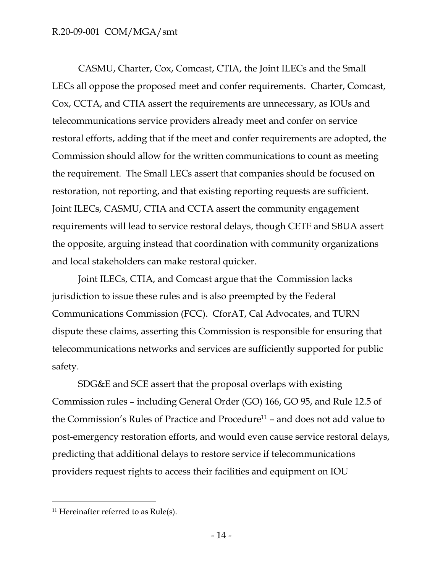CASMU, Charter, Cox, Comcast, CTIA, the Joint ILECs and the Small LECs all oppose the proposed meet and confer requirements. Charter, Comcast, Cox, CCTA, and CTIA assert the requirements are unnecessary, as IOUs and telecommunications service providers already meet and confer on service restoral efforts, adding that if the meet and confer requirements are adopted, the Commission should allow for the written communications to count as meeting the requirement. The Small LECs assert that companies should be focused on restoration, not reporting, and that existing reporting requests are sufficient. Joint ILECs, CASMU, CTIA and CCTA assert the community engagement requirements will lead to service restoral delays, though CETF and SBUA assert the opposite, arguing instead that coordination with community organizations and local stakeholders can make restoral quicker.

Joint ILECs, CTIA, and Comcast argue that the Commission lacks jurisdiction to issue these rules and is also preempted by the Federal Communications Commission (FCC). CforAT, Cal Advocates, and TURN dispute these claims, asserting this Commission is responsible for ensuring that telecommunications networks and services are sufficiently supported for public safety.

SDG&E and SCE assert that the proposal overlaps with existing Commission rules – including General Order (GO) 166, GO 95, and Rule 12.5 of the Commission's Rules of Practice and Procedure<sup>11</sup> – and does not add value to post-emergency restoration efforts, and would even cause service restoral delays, predicting that additional delays to restore service if telecommunications providers request rights to access their facilities and equipment on IOU

<sup>&</sup>lt;sup>11</sup> Hereinafter referred to as Rule(s).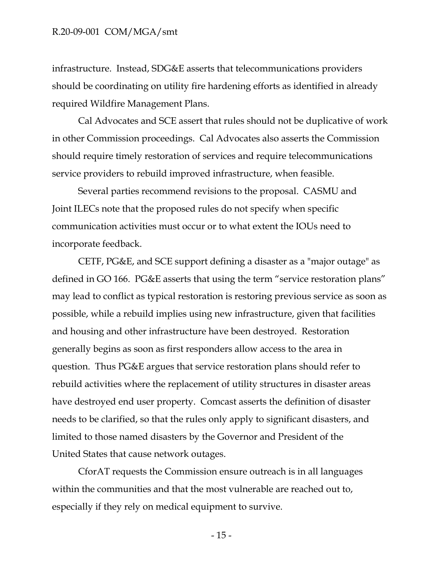infrastructure. Instead, SDG&E asserts that telecommunications providers should be coordinating on utility fire hardening efforts as identified in already required Wildfire Management Plans.

Cal Advocates and SCE assert that rules should not be duplicative of work in other Commission proceedings. Cal Advocates also asserts the Commission should require timely restoration of services and require telecommunications service providers to rebuild improved infrastructure, when feasible.

Several parties recommend revisions to the proposal. CASMU and Joint ILECs note that the proposed rules do not specify when specific communication activities must occur or to what extent the IOUs need to incorporate feedback.

CETF, PG&E, and SCE support defining a disaster as a "major outage" as defined in GO 166. PG&E asserts that using the term "service restoration plans" may lead to conflict as typical restoration is restoring previous service as soon as possible, while a rebuild implies using new infrastructure, given that facilities and housing and other infrastructure have been destroyed. Restoration generally begins as soon as first responders allow access to the area in question. Thus PG&E argues that service restoration plans should refer to rebuild activities where the replacement of utility structures in disaster areas have destroyed end user property. Comcast asserts the definition of disaster needs to be clarified, so that the rules only apply to significant disasters, and limited to those named disasters by the Governor and President of the United States that cause network outages.

CforAT requests the Commission ensure outreach is in all languages within the communities and that the most vulnerable are reached out to, especially if they rely on medical equipment to survive.

- 15 -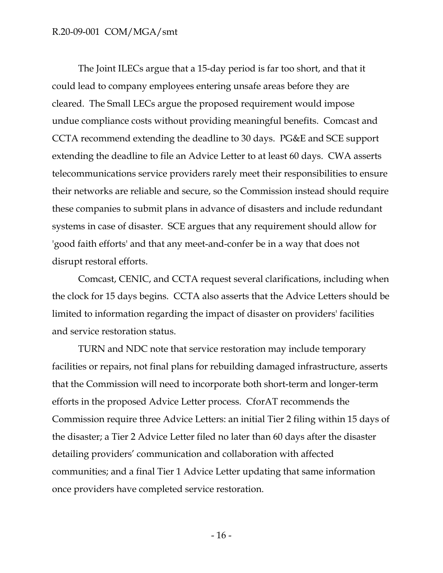The Joint ILECs argue that a 15-day period is far too short, and that it could lead to company employees entering unsafe areas before they are cleared. The Small LECs argue the proposed requirement would impose undue compliance costs without providing meaningful benefits. Comcast and CCTA recommend extending the deadline to 30 days. PG&E and SCE support extending the deadline to file an Advice Letter to at least 60 days. CWA asserts telecommunications service providers rarely meet their responsibilities to ensure their networks are reliable and secure, so the Commission instead should require these companies to submit plans in advance of disasters and include redundant systems in case of disaster. SCE argues that any requirement should allow for 'good faith efforts' and that any meet-and-confer be in a way that does not disrupt restoral efforts.

Comcast, CENIC, and CCTA request several clarifications, including when the clock for 15 days begins. CCTA also asserts that the Advice Letters should be limited to information regarding the impact of disaster on providers' facilities and service restoration status.

TURN and NDC note that service restoration may include temporary facilities or repairs, not final plans for rebuilding damaged infrastructure, asserts that the Commission will need to incorporate both short-term and longer-term efforts in the proposed Advice Letter process. CforAT recommends the Commission require three Advice Letters: an initial Tier 2 filing within 15 days of the disaster; a Tier 2 Advice Letter filed no later than 60 days after the disaster detailing providers' communication and collaboration with affected communities; and a final Tier 1 Advice Letter updating that same information once providers have completed service restoration.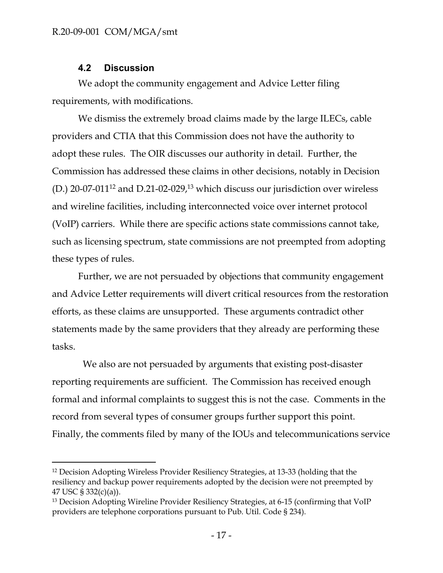### <span id="page-17-0"></span>**4.2 Discussion**

We adopt the community engagement and Advice Letter filing requirements, with modifications.

We dismiss the extremely broad claims made by the large ILECs, cable providers and CTIA that this Commission does not have the authority to adopt these rules. The OIR discusses our authority in detail. Further, the Commission has addressed these claims in other decisions, notably in Decision (D.) 20-07-011<sup>12</sup> and D.21-02-029,<sup>13</sup> which discuss our jurisdiction over wireless and wireline facilities, including interconnected voice over internet protocol (VoIP) carriers. While there are specific actions state commissions cannot take, such as licensing spectrum, state commissions are not preempted from adopting these types of rules.

Further, we are not persuaded by objections that community engagement and Advice Letter requirements will divert critical resources from the restoration efforts, as these claims are unsupported. These arguments contradict other statements made by the same providers that they already are performing these tasks.

 We also are not persuaded by arguments that existing post-disaster reporting requirements are sufficient. The Commission has received enough formal and informal complaints to suggest this is not the case. Comments in the record from several types of consumer groups further support this point. Finally, the comments filed by many of the IOUs and telecommunications service

<sup>&</sup>lt;sup>12</sup> Decision Adopting Wireless Provider Resiliency Strategies, at 13-33 (holding that the resiliency and backup power requirements adopted by the decision were not preempted by 47 USC § 332(c)(a)).

<sup>&</sup>lt;sup>13</sup> Decision Adopting Wireline Provider Resiliency Strategies, at 6-15 (confirming that VoIP providers are telephone corporations pursuant to Pub. Util. Code § 234).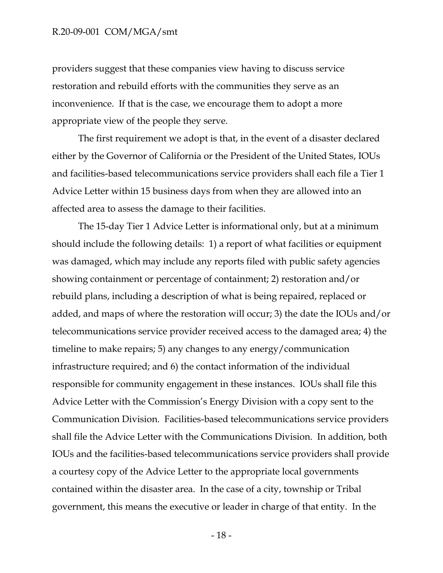providers suggest that these companies view having to discuss service restoration and rebuild efforts with the communities they serve as an inconvenience. If that is the case, we encourage them to adopt a more appropriate view of the people they serve.

The first requirement we adopt is that, in the event of a disaster declared either by the Governor of California or the President of the United States, IOUs and facilities-based telecommunications service providers shall each file a Tier 1 Advice Letter within 15 business days from when they are allowed into an affected area to assess the damage to their facilities.

The 15-day Tier 1 Advice Letter is informational only, but at a minimum should include the following details: 1) a report of what facilities or equipment was damaged, which may include any reports filed with public safety agencies showing containment or percentage of containment; 2) restoration and/or rebuild plans, including a description of what is being repaired, replaced or added, and maps of where the restoration will occur; 3) the date the IOUs and/or telecommunications service provider received access to the damaged area; 4) the timeline to make repairs; 5) any changes to any energy/communication infrastructure required; and 6) the contact information of the individual responsible for community engagement in these instances. IOUs shall file this Advice Letter with the Commission's Energy Division with a copy sent to the Communication Division. Facilities-based telecommunications service providers shall file the Advice Letter with the Communications Division. In addition, both IOUs and the facilities-based telecommunications service providers shall provide a courtesy copy of the Advice Letter to the appropriate local governments contained within the disaster area. In the case of a city, township or Tribal government, this means the executive or leader in charge of that entity. In the

- 18 -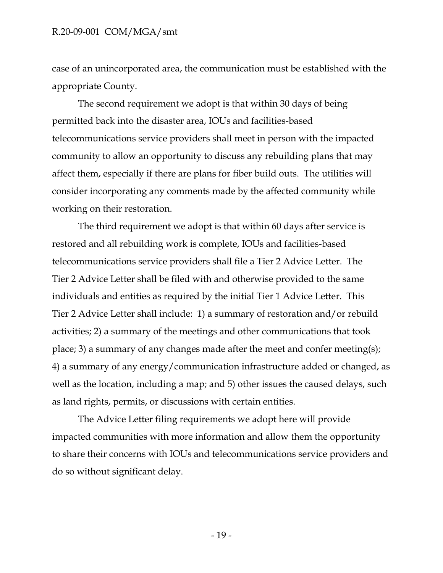case of an unincorporated area, the communication must be established with the appropriate County.

The second requirement we adopt is that within 30 days of being permitted back into the disaster area, IOUs and facilities-based telecommunications service providers shall meet in person with the impacted community to allow an opportunity to discuss any rebuilding plans that may affect them, especially if there are plans for fiber build outs. The utilities will consider incorporating any comments made by the affected community while working on their restoration.

The third requirement we adopt is that within 60 days after service is restored and all rebuilding work is complete, IOUs and facilities-based telecommunications service providers shall file a Tier 2 Advice Letter. The Tier 2 Advice Letter shall be filed with and otherwise provided to the same individuals and entities as required by the initial Tier 1 Advice Letter. This Tier 2 Advice Letter shall include: 1) a summary of restoration and/or rebuild activities; 2) a summary of the meetings and other communications that took place; 3) a summary of any changes made after the meet and confer meeting(s); 4) a summary of any energy/communication infrastructure added or changed, as well as the location, including a map; and 5) other issues the caused delays, such as land rights, permits, or discussions with certain entities.

The Advice Letter filing requirements we adopt here will provide impacted communities with more information and allow them the opportunity to share their concerns with IOUs and telecommunications service providers and do so without significant delay.

- 19 -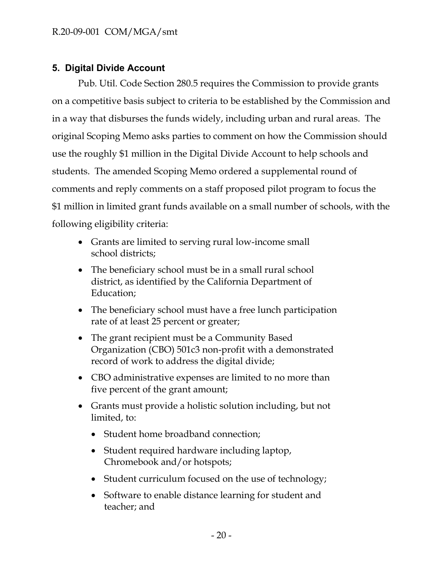# <span id="page-20-0"></span>**5. Digital Divide Account**

Pub. Util. Code Section 280.5 requires the Commission to provide grants on a competitive basis subject to criteria to be established by the Commission and in a way that disburses the funds widely, including urban and rural areas. The original Scoping Memo asks parties to comment on how the Commission should use the roughly \$1 million in the Digital Divide Account to help schools and students. The amended Scoping Memo ordered a supplemental round of comments and reply comments on a staff proposed pilot program to focus the \$1 million in limited grant funds available on a small number of schools, with the following eligibility criteria:

- Grants are limited to serving rural low-income small school districts;
- The beneficiary school must be in a small rural school district, as identified by the California Department of Education;
- The beneficiary school must have a free lunch participation rate of at least 25 percent or greater;
- The grant recipient must be a Community Based Organization (CBO) 501c3 non-profit with a demonstrated record of work to address the digital divide;
- CBO administrative expenses are limited to no more than five percent of the grant amount;
- Grants must provide a holistic solution including, but not limited, to:
	- Student home broadband connection;
	- Student required hardware including laptop, Chromebook and/or hotspots;
	- Student curriculum focused on the use of technology;
	- Software to enable distance learning for student and teacher; and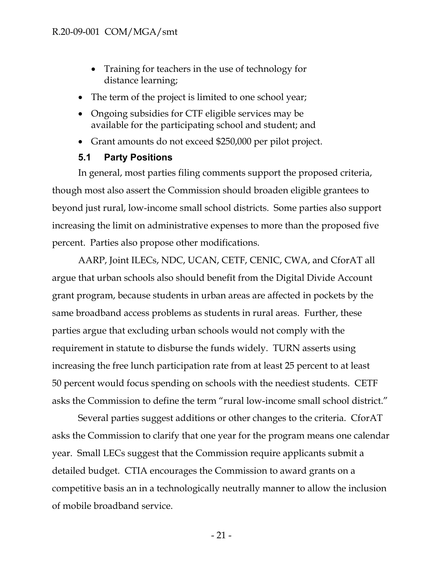- Training for teachers in the use of technology for distance learning;
- The term of the project is limited to one school year;
- Ongoing subsidies for CTF eligible services may be available for the participating school and student; and
- Grant amounts do not exceed \$250,000 per pilot project.

# <span id="page-21-0"></span>**5.1 Party Positions**

In general, most parties filing comments support the proposed criteria, though most also assert the Commission should broaden eligible grantees to beyond just rural, low-income small school districts. Some parties also support increasing the limit on administrative expenses to more than the proposed five percent. Parties also propose other modifications.

AARP, Joint ILECs, NDC, UCAN, CETF, CENIC, CWA, and CforAT all argue that urban schools also should benefit from the Digital Divide Account grant program, because students in urban areas are affected in pockets by the same broadband access problems as students in rural areas. Further, these parties argue that excluding urban schools would not comply with the requirement in statute to disburse the funds widely. TURN asserts using increasing the free lunch participation rate from at least 25 percent to at least 50 percent would focus spending on schools with the neediest students. CETF asks the Commission to define the term "rural low-income small school district."

Several parties suggest additions or other changes to the criteria. CforAT asks the Commission to clarify that one year for the program means one calendar year. Small LECs suggest that the Commission require applicants submit a detailed budget. CTIA encourages the Commission to award grants on a competitive basis an in a technologically neutrally manner to allow the inclusion of mobile broadband service.

- 21 -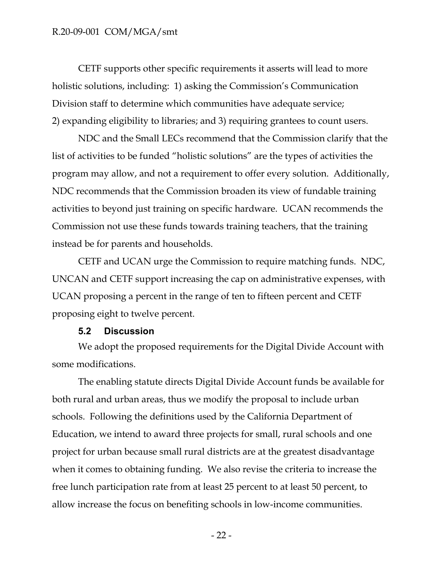CETF supports other specific requirements it asserts will lead to more holistic solutions, including: 1) asking the Commission's Communication Division staff to determine which communities have adequate service; 2) expanding eligibility to libraries; and 3) requiring grantees to count users.

NDC and the Small LECs recommend that the Commission clarify that the list of activities to be funded "holistic solutions" are the types of activities the program may allow, and not a requirement to offer every solution. Additionally, NDC recommends that the Commission broaden its view of fundable training activities to beyond just training on specific hardware. UCAN recommends the Commission not use these funds towards training teachers, that the training instead be for parents and households.

CETF and UCAN urge the Commission to require matching funds. NDC, UNCAN and CETF support increasing the cap on administrative expenses, with UCAN proposing a percent in the range of ten to fifteen percent and CETF proposing eight to twelve percent.

#### <span id="page-22-0"></span>**5.2 Discussion**

We adopt the proposed requirements for the Digital Divide Account with some modifications.

The enabling statute directs Digital Divide Account funds be available for both rural and urban areas, thus we modify the proposal to include urban schools. Following the definitions used by the California Department of Education, we intend to award three projects for small, rural schools and one project for urban because small rural districts are at the greatest disadvantage when it comes to obtaining funding. We also revise the criteria to increase the free lunch participation rate from at least 25 percent to at least 50 percent, to allow increase the focus on benefiting schools in low-income communities.

- 22 -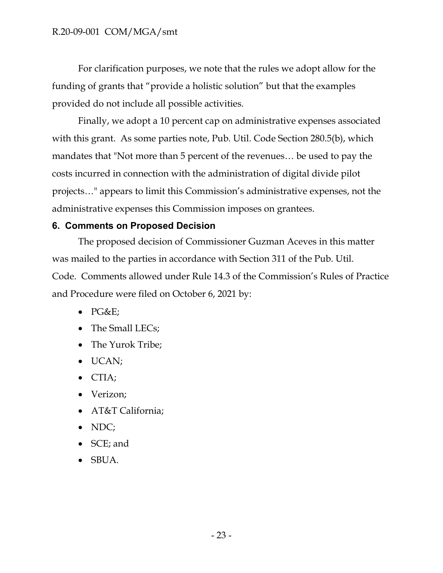For clarification purposes, we note that the rules we adopt allow for the funding of grants that "provide a holistic solution" but that the examples provided do not include all possible activities.

Finally, we adopt a 10 percent cap on administrative expenses associated with this grant. As some parties note, Pub. Util. Code Section 280.5(b), which mandates that "Not more than 5 percent of the revenues… be used to pay the costs incurred in connection with the administration of digital divide pilot projects…" appears to limit this Commission's administrative expenses, not the administrative expenses this Commission imposes on grantees.

# <span id="page-23-0"></span>**6. Comments on Proposed Decision**

The proposed decision of Commissioner Guzman Aceves in this matter was mailed to the parties in accordance with Section 311 of the Pub. Util. Code. Comments allowed under Rule 14.3 of the Commission's Rules of Practice and Procedure were filed on October 6, 2021 by:

- $\bullet$  PG&E;
- The Small LECs;
- The Yurok Tribe;
- UCAN;
- CTIA;
- Verizon;
- AT&T California;
- NDC;
- SCE; and
- SBUA.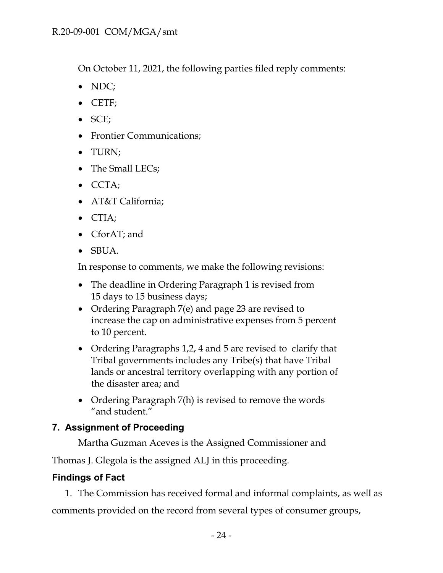On October 11, 2021, the following parties filed reply comments:

- NDC;
- CETF;
- $\bullet$  SCE;
- Frontier Communications;
- TURN;
- The Small LECs;
- $\bullet$  CCTA;
- AT&T California;
- CTIA;
- CforAT; and
- SBUA.

In response to comments, we make the following revisions:

- The deadline in Ordering Paragraph 1 is revised from 15 days to 15 business days;
- Ordering Paragraph 7(e) and page 23 are revised to increase the cap on administrative expenses from 5 percent to 10 percent.
- Ordering Paragraphs 1,2, 4 and 5 are revised to clarify that Tribal governments includes any Tribe(s) that have Tribal lands or ancestral territory overlapping with any portion of the disaster area; and
- Ordering Paragraph 7(h) is revised to remove the words "and student."

# <span id="page-24-0"></span>**7. Assignment of Proceeding**

Martha Guzman Aceves is the Assigned Commissioner and

Thomas J. Glegola is the assigned ALJ in this proceeding.

# <span id="page-24-1"></span>**Findings of Fact**

1. The Commission has received formal and informal complaints, as well as comments provided on the record from several types of consumer groups,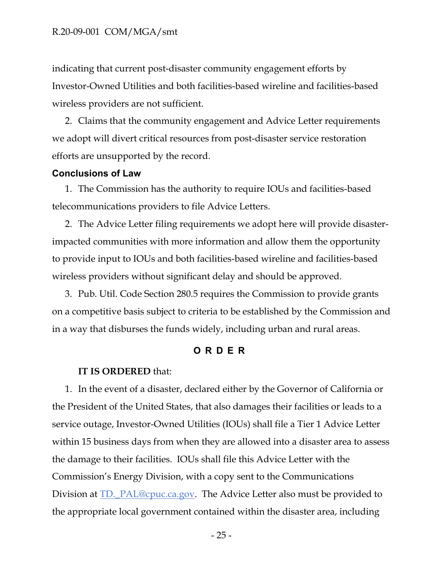indicating that current post-disaster community engagement efforts by Investor-Owned Utilities and both facilities-based wireline and facilities-based wireless providers are not sufficient.

2. Claims that the community engagement and Advice Letter requirements we adopt will divert critical resources from post-disaster service restoration efforts are unsupported by the record.

#### <span id="page-25-0"></span>**Conclusions of Law**

1. The Commission has the authority to require IOUs and facilities-based telecommunications providers to file Advice Letters.

2. The Advice Letter filing requirements we adopt here will provide disasterimpacted communities with more information and allow them the opportunity to provide input to IOUs and both facilities-based wireline and facilities-based wireless providers without significant delay and should be approved.

3. Pub. Util. Code Section 280.5 requires the Commission to provide grants on a competitive basis subject to criteria to be established by the Commission and in a way that disburses the funds widely, including urban and rural areas.

#### <span id="page-25-1"></span>**O R D E R**

#### **IT IS ORDERED** that:

1. In the event of a disaster, declared either by the Governor of California or the President of the United States, that also damages their facilities or leads to a service outage, Investor-Owned Utilities (IOUs) shall file a Tier 1 Advice Letter within 15 business days from when they are allowed into a disaster area to assess the damage to their facilities. IOUs shall file this Advice Letter with the Commission's Energy Division, with a copy sent to the Communications Division at TD.\_PAL@cpuc.ca.gov. The Advice Letter also must be provided to the appropriate local government contained within the disaster area, including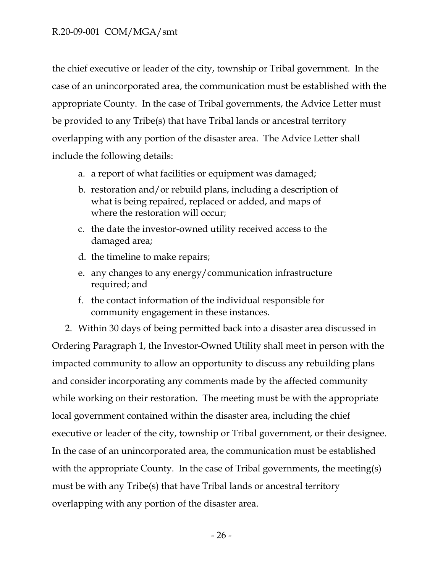the chief executive or leader of the city, township or Tribal government. In the case of an unincorporated area, the communication must be established with the appropriate County. In the case of Tribal governments, the Advice Letter must be provided to any Tribe(s) that have Tribal lands or ancestral territory overlapping with any portion of the disaster area. The Advice Letter shall include the following details:

- a. a report of what facilities or equipment was damaged;
- b. restoration and/or rebuild plans, including a description of what is being repaired, replaced or added, and maps of where the restoration will occur;
- c. the date the investor-owned utility received access to the damaged area;
- d. the timeline to make repairs;
- e. any changes to any energy/communication infrastructure required; and
- f. the contact information of the individual responsible for community engagement in these instances.

2. Within 30 days of being permitted back into a disaster area discussed in Ordering Paragraph 1, the Investor-Owned Utility shall meet in person with the impacted community to allow an opportunity to discuss any rebuilding plans and consider incorporating any comments made by the affected community while working on their restoration. The meeting must be with the appropriate local government contained within the disaster area, including the chief executive or leader of the city, township or Tribal government, or their designee. In the case of an unincorporated area, the communication must be established with the appropriate County. In the case of Tribal governments, the meeting(s) must be with any Tribe(s) that have Tribal lands or ancestral territory overlapping with any portion of the disaster area.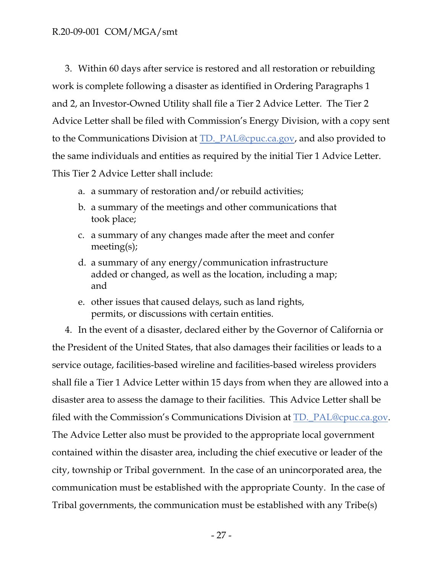3. Within 60 days after service is restored and all restoration or rebuilding work is complete following a disaster as identified in Ordering Paragraphs 1 and 2, an Investor-Owned Utility shall file a Tier 2 Advice Letter. The Tier 2 Advice Letter shall be filed with Commission's Energy Division, with a copy sent to the Communications Division at TD.\_PAL@cpuc.ca.gov, and also provided to the same individuals and entities as required by the initial Tier 1 Advice Letter. This Tier 2 Advice Letter shall include:

- a. a summary of restoration and/or rebuild activities;
- b. a summary of the meetings and other communications that took place;
- c. a summary of any changes made after the meet and confer meeting(s);
- d. a summary of any energy/communication infrastructure added or changed, as well as the location, including a map; and
- e. other issues that caused delays, such as land rights, permits, or discussions with certain entities.

4. In the event of a disaster, declared either by the Governor of California or the President of the United States, that also damages their facilities or leads to a service outage, facilities-based wireline and facilities-based wireless providers shall file a Tier 1 Advice Letter within 15 days from when they are allowed into a disaster area to assess the damage to their facilities. This Advice Letter shall be filed with the Commission's Communications Division at TD.\_PAL@cpuc.ca.gov. The Advice Letter also must be provided to the appropriate local government contained within the disaster area, including the chief executive or leader of the city, township or Tribal government. In the case of an unincorporated area, the communication must be established with the appropriate County. In the case of Tribal governments, the communication must be established with any Tribe(s)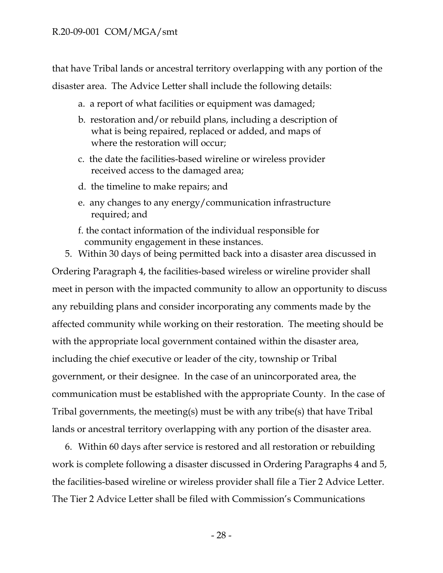that have Tribal lands or ancestral territory overlapping with any portion of the disaster area. The Advice Letter shall include the following details:

- a. a report of what facilities or equipment was damaged;
- b. restoration and/or rebuild plans, including a description of what is being repaired, replaced or added, and maps of where the restoration will occur;
- c. the date the facilities-based wireline or wireless provider received access to the damaged area;
- d. the timeline to make repairs; and
- e. any changes to any energy/communication infrastructure required; and
- f. the contact information of the individual responsible for community engagement in these instances.
- 5. Within 30 days of being permitted back into a disaster area discussed in

Ordering Paragraph 4, the facilities-based wireless or wireline provider shall meet in person with the impacted community to allow an opportunity to discuss any rebuilding plans and consider incorporating any comments made by the affected community while working on their restoration. The meeting should be with the appropriate local government contained within the disaster area, including the chief executive or leader of the city, township or Tribal government, or their designee. In the case of an unincorporated area, the communication must be established with the appropriate County. In the case of Tribal governments, the meeting(s) must be with any tribe(s) that have Tribal lands or ancestral territory overlapping with any portion of the disaster area.

6. Within 60 days after service is restored and all restoration or rebuilding work is complete following a disaster discussed in Ordering Paragraphs 4 and 5, the facilities-based wireline or wireless provider shall file a Tier 2 Advice Letter. The Tier 2 Advice Letter shall be filed with Commission's Communications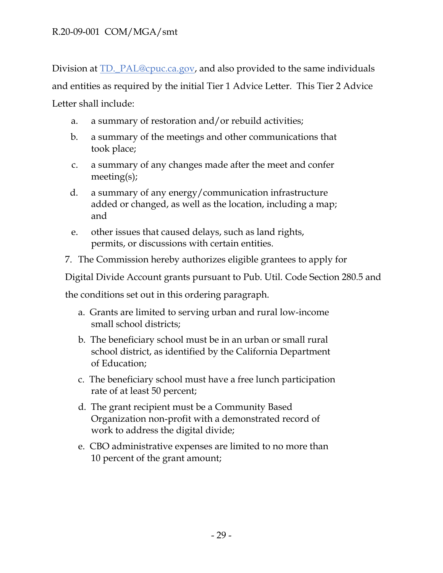Division at TD.\_PAL@cpuc.ca.gov, and also provided to the same individuals and entities as required by the initial Tier 1 Advice Letter. This Tier 2 Advice Letter shall include:

- a. a summary of restoration and/or rebuild activities;
- b. a summary of the meetings and other communications that took place;
- c. a summary of any changes made after the meet and confer meeting(s);
- d. a summary of any energy/communication infrastructure added or changed, as well as the location, including a map; and
- e. other issues that caused delays, such as land rights, permits, or discussions with certain entities.
- 7. The Commission hereby authorizes eligible grantees to apply for

Digital Divide Account grants pursuant to Pub. Util. Code Section 280.5 and

the conditions set out in this ordering paragraph.

- a. Grants are limited to serving urban and rural low-income small school districts;
- b. The beneficiary school must be in an urban or small rural school district, as identified by the California Department of Education;
- c. The beneficiary school must have a free lunch participation rate of at least 50 percent;
- d. The grant recipient must be a Community Based Organization non-profit with a demonstrated record of work to address the digital divide;
- e. CBO administrative expenses are limited to no more than 10 percent of the grant amount;